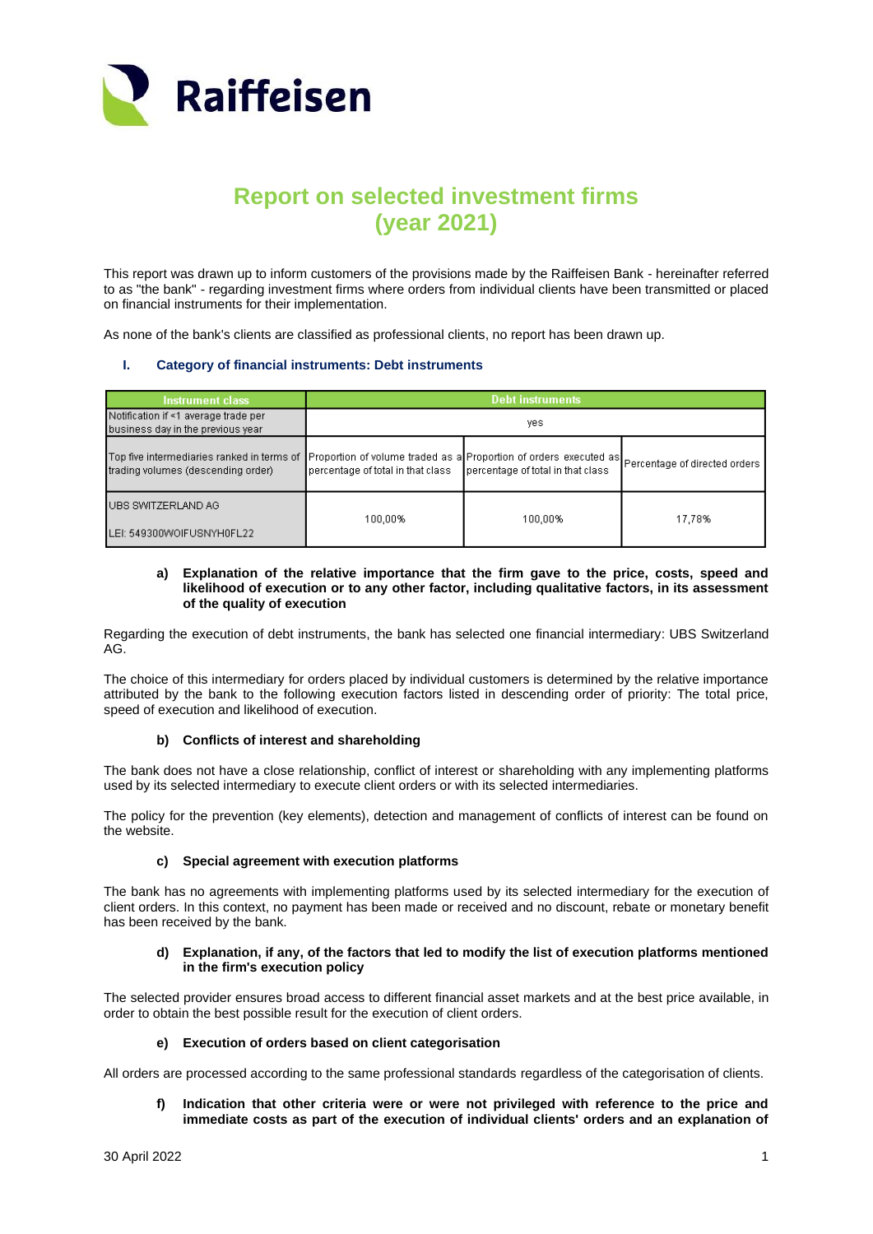

# **Report on selected investment firms (year 2021)**

This report was drawn up to inform customers of the provisions made by the Raiffeisen Bank - hereinafter referred to as "the bank" - regarding investment firms where orders from individual clients have been transmitted or placed on financial instruments for their implementation.

As none of the bank's clients are classified as professional clients, no report has been drawn up.

## **I. Category of financial instruments: Debt instruments**

| <b>Instrument class</b>                                                          | <b>Debt instruments</b>                                                                                                              |                                   |        |
|----------------------------------------------------------------------------------|--------------------------------------------------------------------------------------------------------------------------------------|-----------------------------------|--------|
| Notification if <1 average trade per<br>business day in the previous year        | yes.                                                                                                                                 |                                   |        |
| Top five intermediaries ranked in terms of<br>trading volumes (descending order) | Proportion of volume traded as a Proportion of orders executed as Percentage of directed orders<br>percentage of total in that class | percentage of total in that class |        |
| UBS SWITZERLAND AG<br>LEI: 549300WOIFUSNYH0FL22                                  | 100,00%                                                                                                                              | 100,00%                           | 17,78% |

#### **a) Explanation of the relative importance that the firm gave to the price, costs, speed and likelihood of execution or to any other factor, including qualitative factors, in its assessment of the quality of execution**

Regarding the execution of debt instruments, the bank has selected one financial intermediary: UBS Switzerland AG.

The choice of this intermediary for orders placed by individual customers is determined by the relative importance attributed by the bank to the following execution factors listed in descending order of priority: The total price, speed of execution and likelihood of execution.

## **b) Conflicts of interest and shareholding**

The bank does not have a close relationship, conflict of interest or shareholding with any implementing platforms used by its selected intermediary to execute client orders or with its selected intermediaries.

The policy for the prevention (key elements), detection and management of conflicts of interest can be found on the website.

## **c) Special agreement with execution platforms**

The bank has no agreements with implementing platforms used by its selected intermediary for the execution of client orders. In this context, no payment has been made or received and no discount, rebate or monetary benefit has been received by the bank.

## **d) Explanation, if any, of the factors that led to modify the list of execution platforms mentioned in the firm's execution policy**

The selected provider ensures broad access to different financial asset markets and at the best price available, in order to obtain the best possible result for the execution of client orders.

## **e) Execution of orders based on client categorisation**

All orders are processed according to the same professional standards regardless of the categorisation of clients.

**f) Indication that other criteria were or were not privileged with reference to the price and immediate costs as part of the execution of individual clients' orders and an explanation of**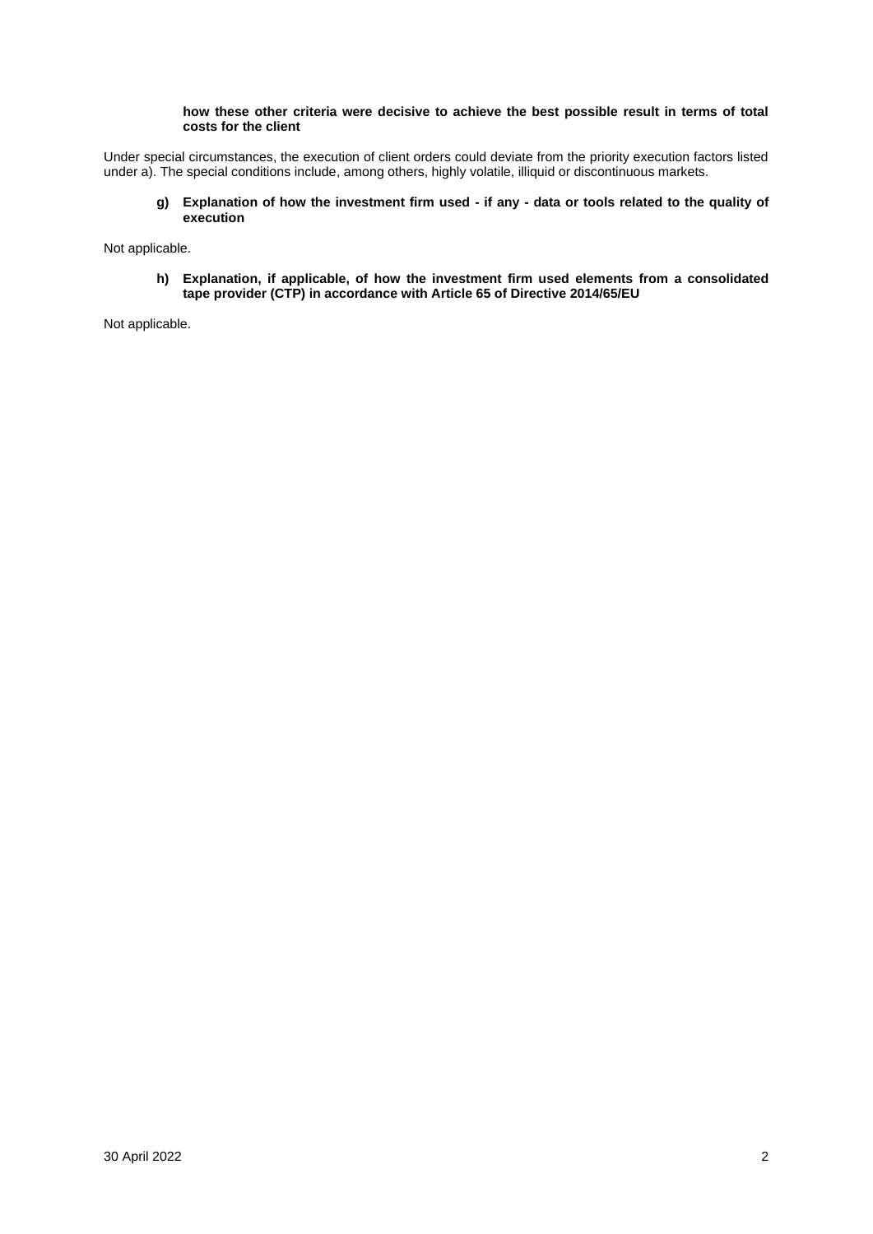## **how these other criteria were decisive to achieve the best possible result in terms of total costs for the client**

Under special circumstances, the execution of client orders could deviate from the priority execution factors listed under a). The special conditions include, among others, highly volatile, illiquid or discontinuous markets.

**g) Explanation of how the investment firm used - if any - data or tools related to the quality of execution**

Not applicable.

**h) Explanation, if applicable, of how the investment firm used elements from a consolidated tape provider (CTP) in accordance with Article 65 of Directive 2014/65/EU**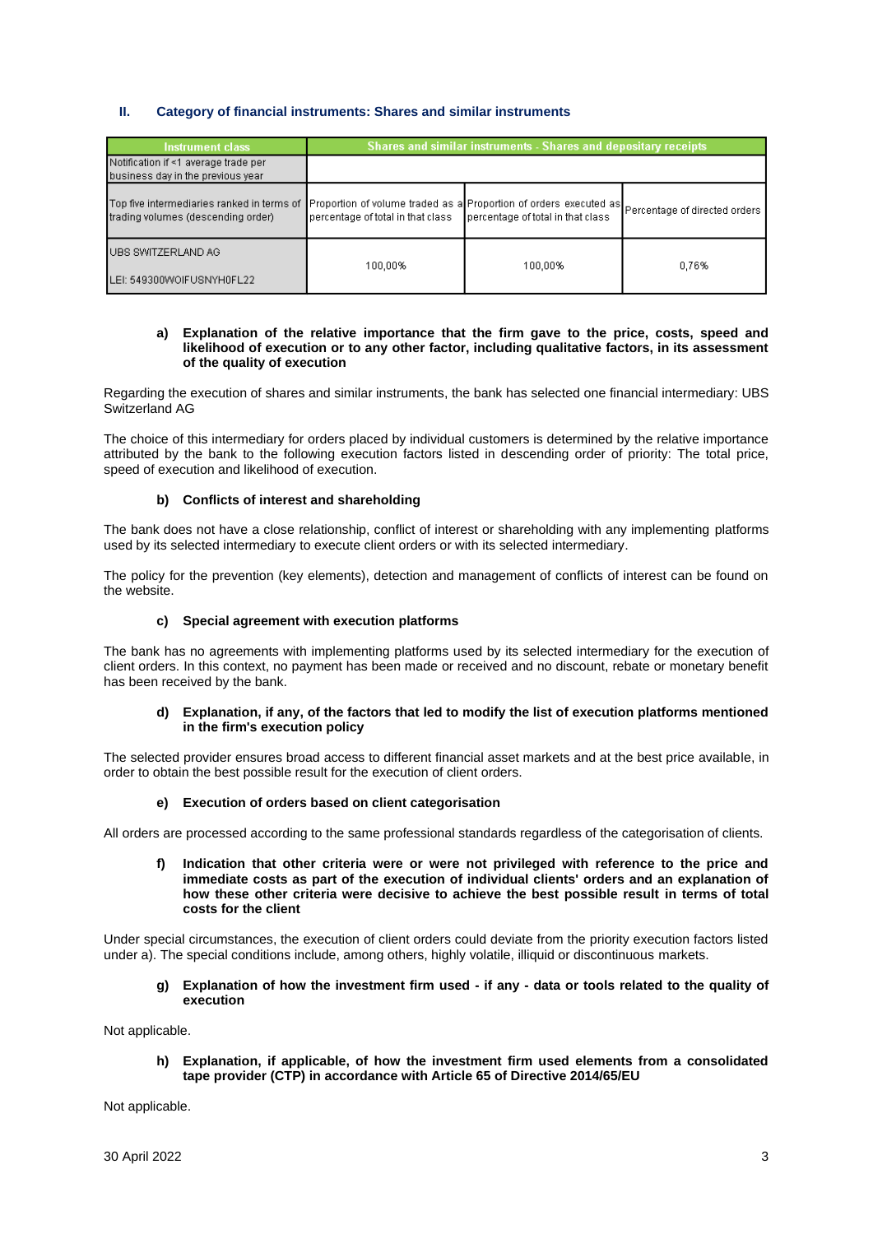# **II. Category of financial instruments: Shares and similar instruments**

| <b>Instrument class</b>                                                                                                                                                          | Shares and similar instruments - Shares and depositary receipts |                                   |       |
|----------------------------------------------------------------------------------------------------------------------------------------------------------------------------------|-----------------------------------------------------------------|-----------------------------------|-------|
| Notification if <1 average trade per<br>business day in the previous year                                                                                                        |                                                                 |                                   |       |
| Top five intermediaries ranked in terms of Proportion of volume traded as a Proportion of orders executed as Percentage of directed orders<br>trading volumes (descending order) | percentage of total in that class                               | percentage of total in that class |       |
| IUBS SWITZERLAND AG.<br>LEI: 549300WOIFUSNYH0FL22                                                                                                                                | 100.00%                                                         | 100.00%                           | 0.76% |

#### **a) Explanation of the relative importance that the firm gave to the price, costs, speed and likelihood of execution or to any other factor, including qualitative factors, in its assessment of the quality of execution**

Regarding the execution of shares and similar instruments, the bank has selected one financial intermediary: UBS Switzerland AG

The choice of this intermediary for orders placed by individual customers is determined by the relative importance attributed by the bank to the following execution factors listed in descending order of priority: The total price, speed of execution and likelihood of execution.

## **b) Conflicts of interest and shareholding**

The bank does not have a close relationship, conflict of interest or shareholding with any implementing platforms used by its selected intermediary to execute client orders or with its selected intermediary.

The policy for the prevention (key elements), detection and management of conflicts of interest can be found on the website.

## **c) Special agreement with execution platforms**

The bank has no agreements with implementing platforms used by its selected intermediary for the execution of client orders. In this context, no payment has been made or received and no discount, rebate or monetary benefit has been received by the bank.

#### **d) Explanation, if any, of the factors that led to modify the list of execution platforms mentioned in the firm's execution policy**

The selected provider ensures broad access to different financial asset markets and at the best price available, in order to obtain the best possible result for the execution of client orders.

## **e) Execution of orders based on client categorisation**

All orders are processed according to the same professional standards regardless of the categorisation of clients.

**f) Indication that other criteria were or were not privileged with reference to the price and immediate costs as part of the execution of individual clients' orders and an explanation of how these other criteria were decisive to achieve the best possible result in terms of total costs for the client**

Under special circumstances, the execution of client orders could deviate from the priority execution factors listed under a). The special conditions include, among others, highly volatile, illiquid or discontinuous markets.

**g) Explanation of how the investment firm used - if any - data or tools related to the quality of execution**

Not applicable.

**h) Explanation, if applicable, of how the investment firm used elements from a consolidated tape provider (CTP) in accordance with Article 65 of Directive 2014/65/EU**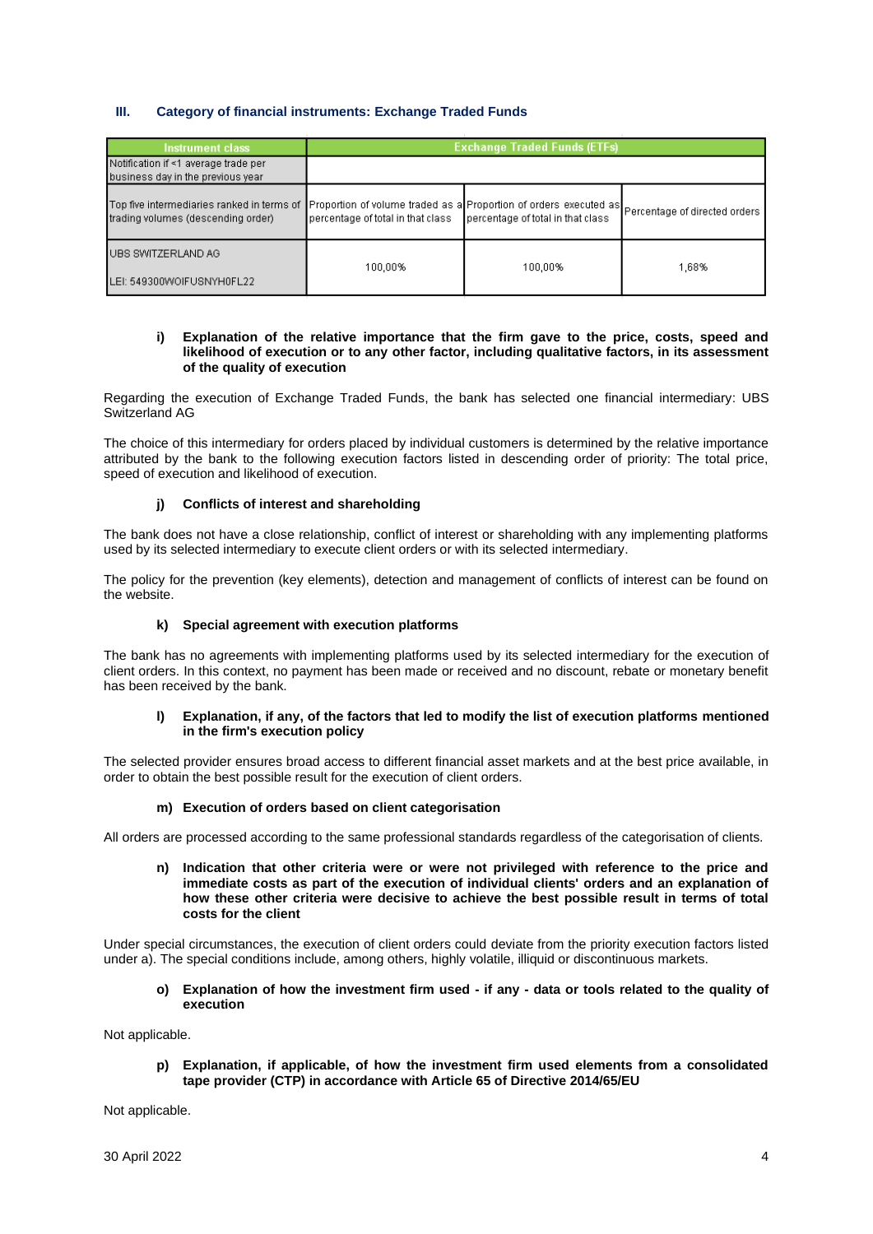# **III. Category of financial instruments: Exchange Traded Funds**

| <b>Instrument class</b>                                                                                                                                                          | <b>Exchange Traded Funds (ETFs)</b> |                                   |       |
|----------------------------------------------------------------------------------------------------------------------------------------------------------------------------------|-------------------------------------|-----------------------------------|-------|
| Notification if <1 average trade per<br>business day in the previous year                                                                                                        |                                     |                                   |       |
| Top five intermediaries ranked in terms of Proportion of volume traded as a Proportion of orders executed as Percentage of directed orders<br>trading volumes (descending order) | percentage of total in that class   | percentage of total in that class |       |
| UBS SWITZERLAND AG<br>LEI: 549300WOIFUSNYH0FL22                                                                                                                                  | 100,00%                             | 100,00%                           | 1,68% |

#### **i) Explanation of the relative importance that the firm gave to the price, costs, speed and likelihood of execution or to any other factor, including qualitative factors, in its assessment of the quality of execution**

Regarding the execution of Exchange Traded Funds, the bank has selected one financial intermediary: UBS Switzerland AG

The choice of this intermediary for orders placed by individual customers is determined by the relative importance attributed by the bank to the following execution factors listed in descending order of priority: The total price, speed of execution and likelihood of execution.

## **j) Conflicts of interest and shareholding**

The bank does not have a close relationship, conflict of interest or shareholding with any implementing platforms used by its selected intermediary to execute client orders or with its selected intermediary.

The policy for the prevention (key elements), detection and management of conflicts of interest can be found on the website.

## **k) Special agreement with execution platforms**

The bank has no agreements with implementing platforms used by its selected intermediary for the execution of client orders. In this context, no payment has been made or received and no discount, rebate or monetary benefit has been received by the bank.

## **l) Explanation, if any, of the factors that led to modify the list of execution platforms mentioned in the firm's execution policy**

The selected provider ensures broad access to different financial asset markets and at the best price available, in order to obtain the best possible result for the execution of client orders.

## **m) Execution of orders based on client categorisation**

All orders are processed according to the same professional standards regardless of the categorisation of clients.

**n) Indication that other criteria were or were not privileged with reference to the price and immediate costs as part of the execution of individual clients' orders and an explanation of how these other criteria were decisive to achieve the best possible result in terms of total costs for the client**

Under special circumstances, the execution of client orders could deviate from the priority execution factors listed under a). The special conditions include, among others, highly volatile, illiquid or discontinuous markets.

#### **o) Explanation of how the investment firm used - if any - data or tools related to the quality of execution**

Not applicable.

**p) Explanation, if applicable, of how the investment firm used elements from a consolidated tape provider (CTP) in accordance with Article 65 of Directive 2014/65/EU**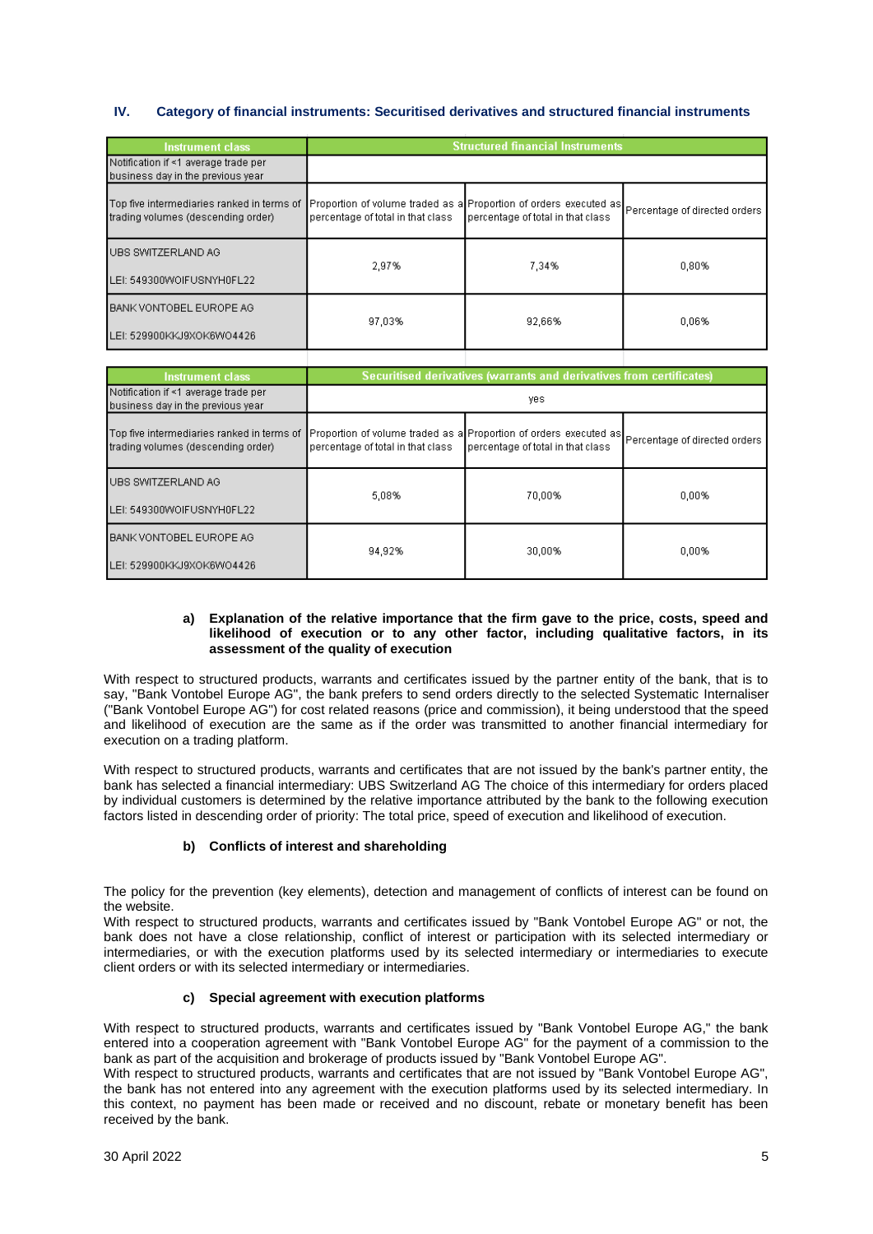# **IV. Category of financial instruments: Securitised derivatives and structured financial instruments**

| <b>Instrument class</b>                                                          | <b>Structured financial Instruments</b> |                                                                                                                                      |       |
|----------------------------------------------------------------------------------|-----------------------------------------|--------------------------------------------------------------------------------------------------------------------------------------|-------|
| Notification if <1 average trade per<br>business day in the previous year        |                                         |                                                                                                                                      |       |
| Top five intermediaries ranked in terms of<br>trading volumes (descending order) | percentage of total in that class       | Proportion of volume traded as a Proportion of orders executed as Percentage of directed orders<br>percentage of total in that class |       |
| UBS SWITZERLAND AG                                                               | 2.97%                                   | 7.34%                                                                                                                                | 0.80% |
| LEI: 549300WOIFUSNYH0FL22                                                        |                                         |                                                                                                                                      |       |
| BANK VONTOBEL EUROPE AG                                                          | 97.03%                                  | 92.66%                                                                                                                               | 0.06% |
| LEI: 529900KKJ9XOK6WO4426                                                        |                                         |                                                                                                                                      |       |

| <b>Instrument class</b>                                                          | Securitised derivatives (warrants and derivatives from certificates) |                                                                                                                                      |          |
|----------------------------------------------------------------------------------|----------------------------------------------------------------------|--------------------------------------------------------------------------------------------------------------------------------------|----------|
| Notification if <1 average trade per<br>business day in the previous year        | yes.                                                                 |                                                                                                                                      |          |
| Top five intermediaries ranked in terms of<br>trading volumes (descending order) | percentage of total in that class                                    | Proportion of volume traded as a Proportion of orders executed as Percentage of directed orders<br>percentage of total in that class |          |
| UBS SWITZERLAND AG                                                               | 5.08%                                                                | 70,00%                                                                                                                               | $0.00\%$ |
| LEI: 549300WOIFUSNYH0FL22                                                        |                                                                      |                                                                                                                                      |          |
| BANK VONTOBEL EUROPE AG                                                          | 94.92%                                                               | 30,00%                                                                                                                               | 0.00%    |
| LEI: 529900KKJ9XOK6WO4426                                                        |                                                                      |                                                                                                                                      |          |

## **a) Explanation of the relative importance that the firm gave to the price, costs, speed and likelihood of execution or to any other factor, including qualitative factors, in its assessment of the quality of execution**

With respect to structured products, warrants and certificates issued by the partner entity of the bank, that is to say, "Bank Vontobel Europe AG", the bank prefers to send orders directly to the selected Systematic Internaliser ("Bank Vontobel Europe AG") for cost related reasons (price and commission), it being understood that the speed and likelihood of execution are the same as if the order was transmitted to another financial intermediary for execution on a trading platform.

With respect to structured products, warrants and certificates that are not issued by the bank's partner entity, the bank has selected a financial intermediary: UBS Switzerland AG The choice of this intermediary for orders placed by individual customers is determined by the relative importance attributed by the bank to the following execution factors listed in descending order of priority: The total price, speed of execution and likelihood of execution.

# **b) Conflicts of interest and shareholding**

The policy for the prevention (key elements), detection and management of conflicts of interest can be found on the website.

With respect to structured products, warrants and certificates issued by "Bank Vontobel Europe AG" or not, the bank does not have a close relationship, conflict of interest or participation with its selected intermediary or intermediaries, or with the execution platforms used by its selected intermediary or intermediaries to execute client orders or with its selected intermediary or intermediaries.

# **c) Special agreement with execution platforms**

With respect to structured products, warrants and certificates issued by "Bank Vontobel Europe AG," the bank entered into a cooperation agreement with "Bank Vontobel Europe AG" for the payment of a commission to the bank as part of the acquisition and brokerage of products issued by "Bank Vontobel Europe AG".

With respect to structured products, warrants and certificates that are not issued by "Bank Vontobel Europe AG", the bank has not entered into any agreement with the execution platforms used by its selected intermediary. In this context, no payment has been made or received and no discount, rebate or monetary benefit has been received by the bank.